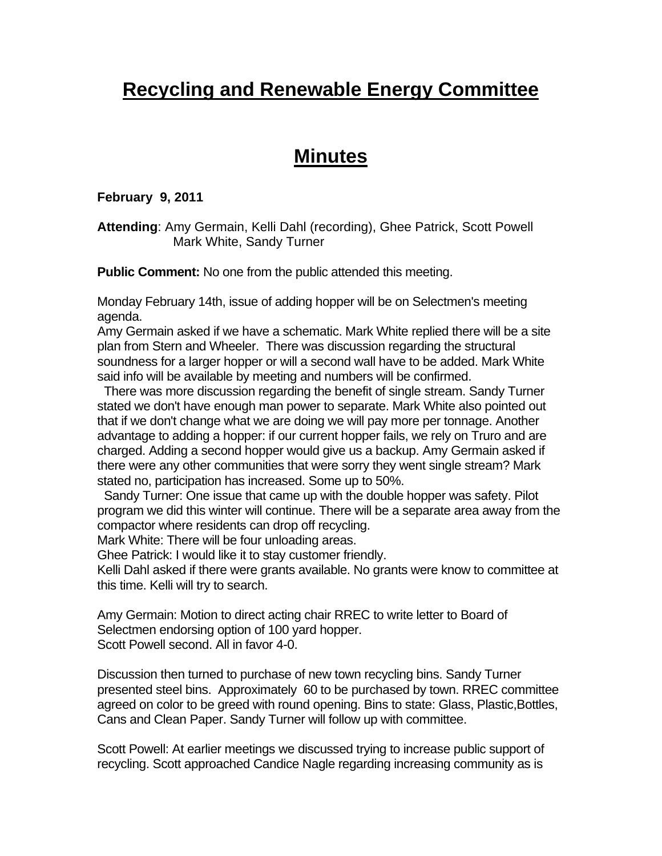# **Recycling and Renewable Energy Committee**

## **Minutes**

#### **February 9, 2011**

#### **Attending**: Amy Germain, Kelli Dahl (recording), Ghee Patrick, Scott Powell Mark White, Sandy Turner

**Public Comment:** No one from the public attended this meeting.

Monday February 14th, issue of adding hopper will be on Selectmen's meeting agenda.

Amy Germain asked if we have a schematic. Mark White replied there will be a site plan from Stern and Wheeler. There was discussion regarding the structural soundness for a larger hopper or will a second wall have to be added. Mark White said info will be available by meeting and numbers will be confirmed.

 There was more discussion regarding the benefit of single stream. Sandy Turner stated we don't have enough man power to separate. Mark White also pointed out that if we don't change what we are doing we will pay more per tonnage. Another advantage to adding a hopper: if our current hopper fails, we rely on Truro and are charged. Adding a second hopper would give us a backup. Amy Germain asked if there were any other communities that were sorry they went single stream? Mark stated no, participation has increased. Some up to 50%.

 Sandy Turner: One issue that came up with the double hopper was safety. Pilot program we did this winter will continue. There will be a separate area away from the compactor where residents can drop off recycling.

Mark White: There will be four unloading areas.

Ghee Patrick: I would like it to stay customer friendly.

Kelli Dahl asked if there were grants available. No grants were know to committee at this time. Kelli will try to search.

Amy Germain: Motion to direct acting chair RREC to write letter to Board of Selectmen endorsing option of 100 yard hopper. Scott Powell second. All in favor 4-0.

Discussion then turned to purchase of new town recycling bins. Sandy Turner presented steel bins. Approximately 60 to be purchased by town. RREC committee agreed on color to be greed with round opening. Bins to state: Glass, Plastic,Bottles, Cans and Clean Paper. Sandy Turner will follow up with committee.

Scott Powell: At earlier meetings we discussed trying to increase public support of recycling. Scott approached Candice Nagle regarding increasing community as is